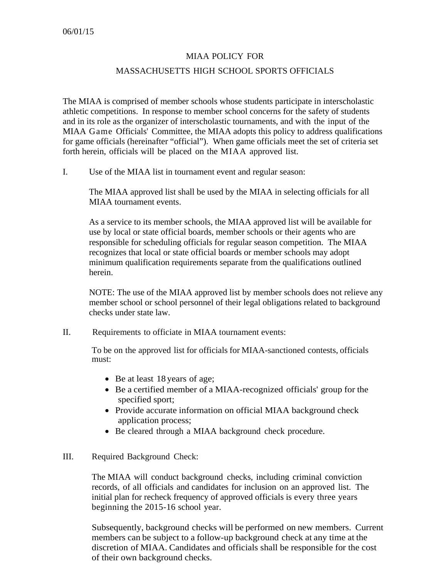## MIAA POLICY FOR

## MASSACHUSETTS HIGH SCHOOL SPORTS OFFICIALS

The MIAA is comprised of member schools whose students participate in interscholastic athletic competitions. In response to member school concerns for the safety of students and in its role as the organizer of interscholastic tournaments, and with the input of the MIAA Game Officials' Committee, the MIAA adopts this policy to address qualifications for game officials (hereinafter "official"). When game officials meet the set of criteria set forth herein, officials will be placed on the MIAA approved list.

I. Use of the MIAA list in tournament event and regular season:

The MIAA approved list shall be used by the MIAA in selecting officials for all MIAA tournament events.

As a service to its member schools, the MIAA approved list will be available for use by local or state official boards, member schools or their agents who are responsible for scheduling officials for regular season competition. The MIAA recognizes that local or state official boards or member schools may adopt minimum qualification requirements separate from the qualifications outlined herein.

NOTE: The use of the MIAA approved list by member schools does not relieve any member school or school personnel of their legal obligations related to background checks under state law.

II. Requirements to officiate in MIAA tournament events:

To be on the approved list for officials for MIAA-sanctioned contests, officials must:

- Be at least 18 years of age;
- Be a certified member of a MIAA-recognized officials' group for the specified sport;
- Provide accurate information on official MIAA background check application process;
- Be cleared through a MIAA background check procedure.

## III. Required Background Check:

The MIAA will conduct background checks, including criminal conviction records, of all officials and candidates for inclusion on an approved list. The initial plan for recheck frequency of approved officials is every three years beginning the 2015-16 school year.

Subsequently, background checks will be performed on new members. Current members can be subject to a follow-up background check at any time at the discretion of MIAA. Candidates and officials shall be responsible for the cost of their own background checks.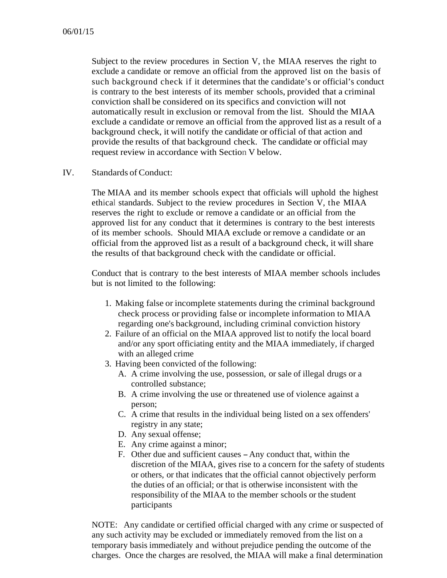Subject to the review procedures in Section V, the MIAA reserves the right to exclude a candidate or remove an official from the approved list on the basis of such background check if it determines that the candidate's or official's conduct is contrary to the best interests of its member schools, provided that a criminal conviction shall be considered on its specifics and conviction will not automatically result in exclusion or removal from the list. Should the MIAA exclude a candidate or remove an official from the approved list as a result of a background check, it will notify the candidate or official of that action and provide the results of that background check. The candidate or official may request review in accordance with Section V below.

IV. Standards of Conduct:

The MIAA and its member schools expect that officials will uphold the highest ethical standards. Subject to the review procedures in Section V, the MIAA reserves the right to exclude or remove a candidate or an official from the approved list for any conduct that it determines is contrary to the best interests of its member schools. Should MIAA exclude or remove a candidate or an official from the approved list as a result of a background check, it will share the results of that background check with the candidate or official.

Conduct that is contrary to the best interests of MIAA member schools includes but is not limited to the following:

- 1. Making false or incomplete statements during the criminal background check process or providing false or incomplete information to MIAA regarding one's background, including criminal conviction history
- 2. Failure of an official on the MIAA approved list to notify the local board and/or any sport officiating entity and the MIAA immediately, if charged with an alleged crime
- 3. Having been convicted of the following:
	- A. A crime involving the use, possession, or sale of illegal drugs or a controlled substance;
	- B. A crime involving the use or threatened use of violence against a person;
	- C. A crime that results in the individual being listed on a sex offenders' registry in any state;
	- D. Any sexual offense;
	- E. Any crime against a minor;
	- F. Other due and sufficient causes Any conduct that, within the discretion of the MIAA, gives rise to a concern for the safety of students or others, or that indicates that the official cannot objectively perform the duties of an official; or that is otherwise inconsistent with the responsibility of the MIAA to the member schools or the student participants

NOTE: Any candidate or certified official charged with any crime or suspected of any such activity may be excluded or immediately removed from the list on a temporary basis immediately and without prejudice pending the outcome of the charges. Once the charges are resolved, the MIAA will make a final determination